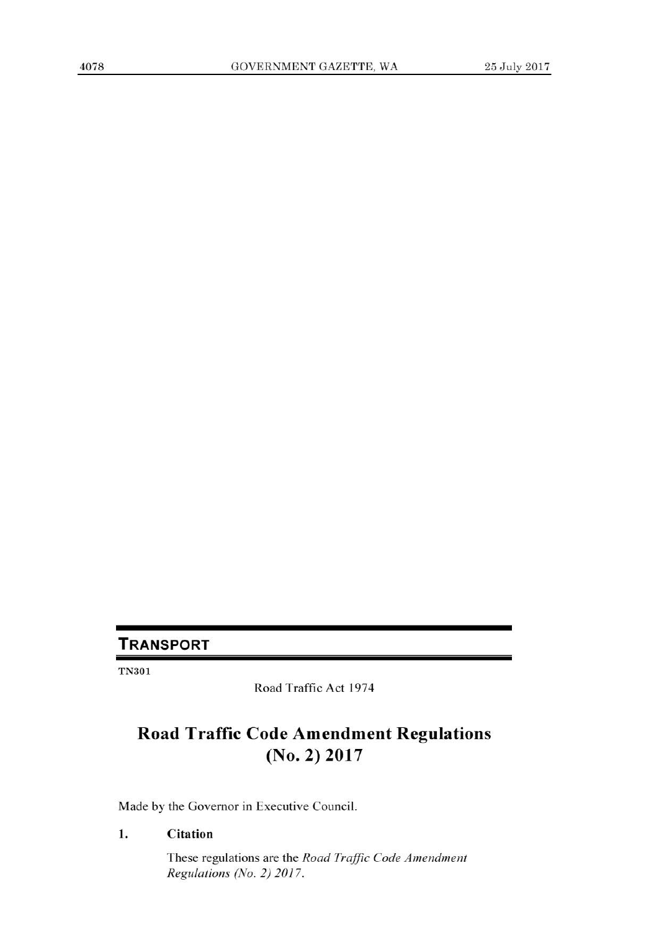## **TRANSPORT**

TN301

Road Traffic Act 1974

# **Road Traffic Code Amendment Regulations (No. 2) 2017**

Made by the Governor in Executive Council.

### **1. Citation**

These regulations are the *Road Traffic Code Amendment Regulations (No. 2) 2017.*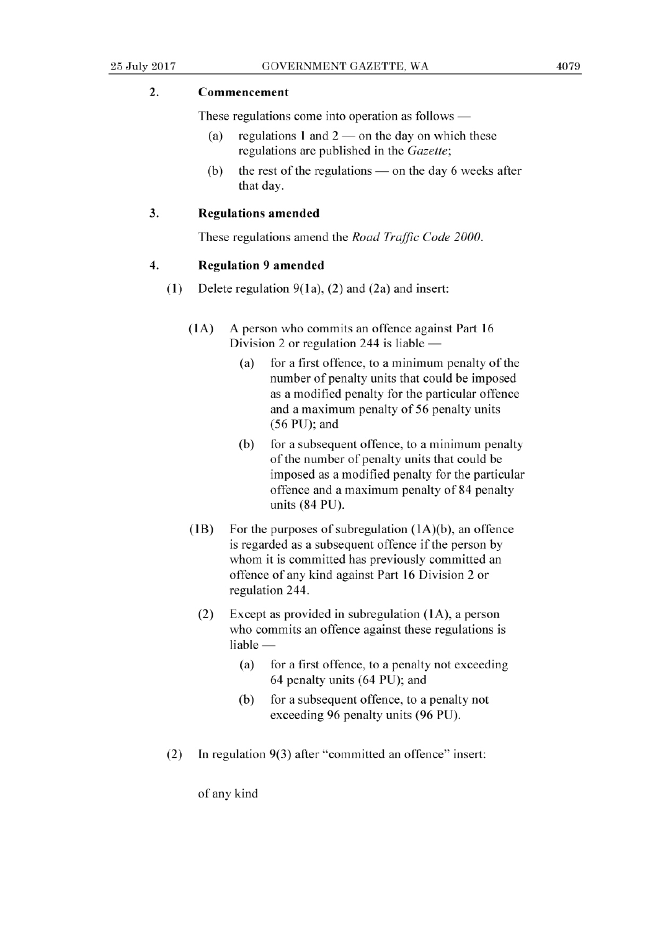#### 2. **Commencement**

These regulations come into operation as follows —

- (a) regulations 1 and  $2$  on the day on which these regulations are published in the Gazette;
- (b) the rest of the regulations  $-$  on the day 6 weeks after that day.

#### 3. **Regulations amended**

These regulations amend the *Road Traffic Code 2000.* 

#### **4. Regulation 9 amended**

- (1) Delete regulation 9(la), (2) and (2a) and insert:
	- (1A) A person who commits an offence against Part 16 Division 2 or regulation 244 is liable  $-$ 
		- (a) for a first offence, to a minimum penalty of the number of penalty units that could be imposed as a modified penalty for the particular offence and a maximum penalty of 56 penalty units *(56* PU); and
		- (b) for a subsequent offence, to a minimum penalty of the number of penalty units that could be imposed as a modified penalty for the particular offence and a maximum penalty of 84 penalty units (84 PU).
	- (1B) For the purposes of subregulation (1A)(b), an offence is regarded as a subsequent offence if the person by whom it is committed has previously committed an offence of any kind against Part 16 Division 2 or regulation 244.
		- (2) Except as provided in subregulation (1A), a person who commits an offence against these regulations is  $liable -$ 
			- (a) for a first offence, to a penalty not exceeding 64 penalty units (64 PU); and
			- (b) for a subsequent offence, to a penalty not exceeding 96 penalty units (96 PU).
- (2) In regulation 9(3) after "committed an offence" insert:

of any kind